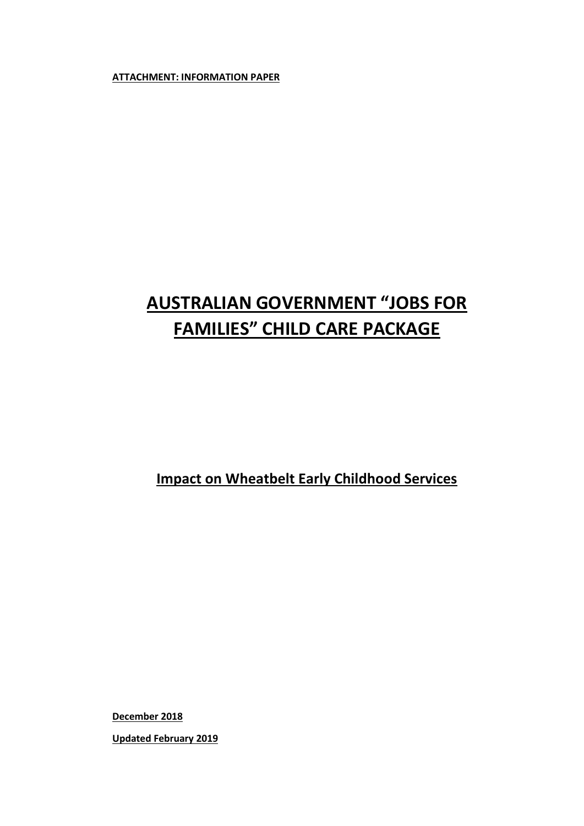**ATTACHMENT: INFORMATION PAPER**

# **AUSTRALIAN GOVERNMENT "JOBS FOR FAMILIES" CHILD CARE PACKAGE**

**Impact on Wheatbelt Early Childhood Services**

**December 2018**

**Updated February 2019**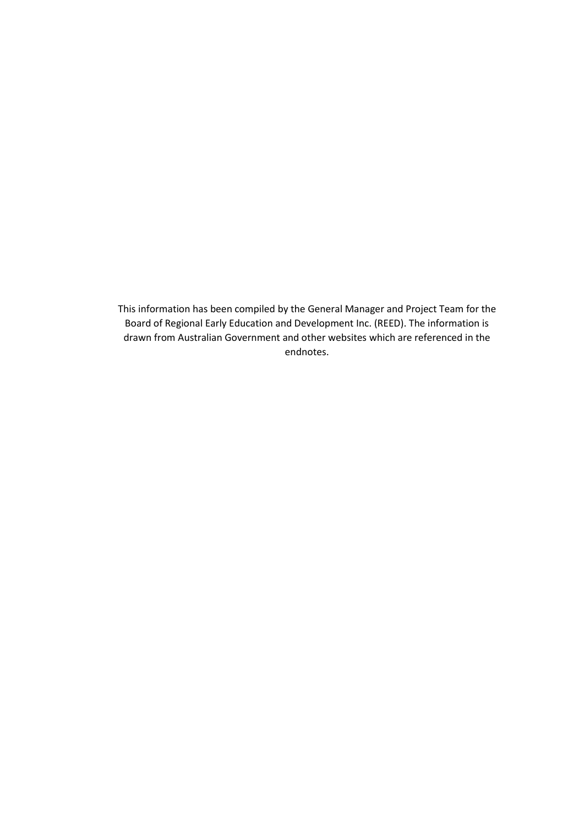This information has been compiled by the General Manager and Project Team for the Board of Regional Early Education and Development Inc. (REED). The information is drawn from Australian Government and other websites which are referenced in the endnotes.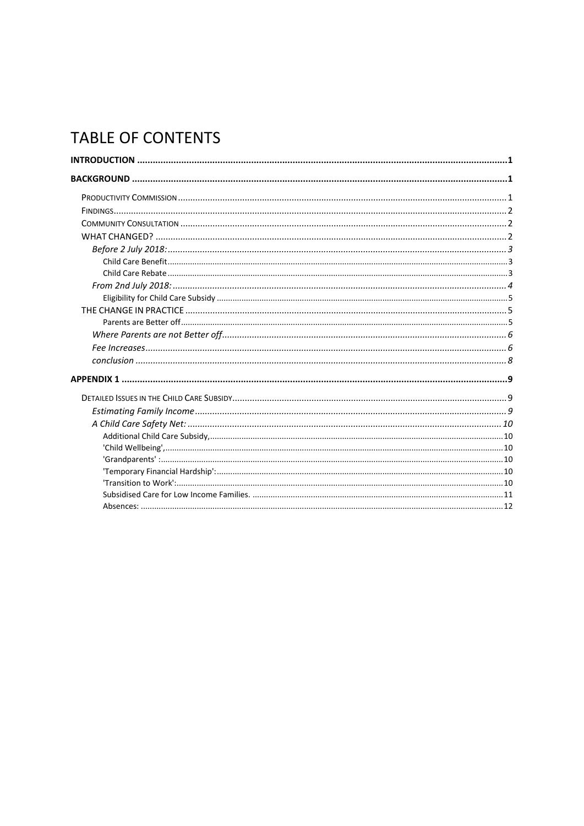## **TABLE OF CONTENTS**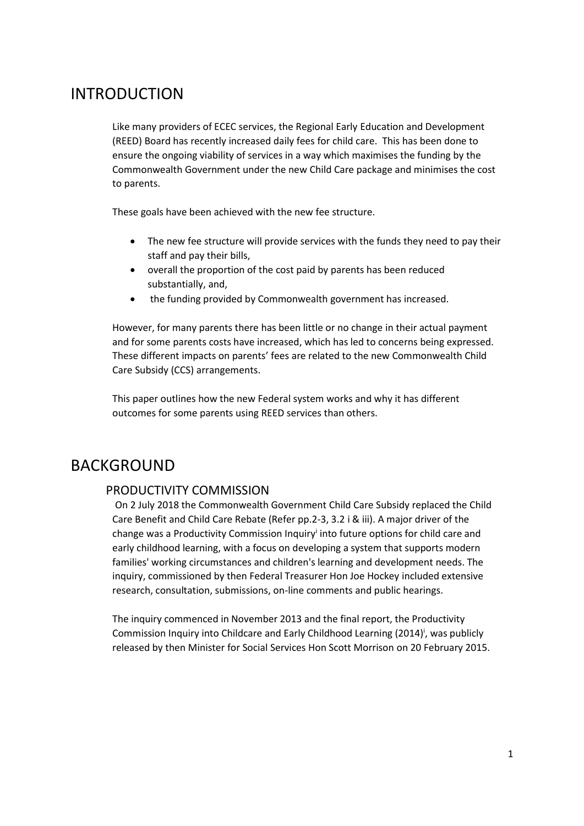## <span id="page-3-0"></span>INTRODUCTION

Like many providers of ECEC services, the Regional Early Education and Development (REED) Board has recently increased daily fees for child care. This has been done to ensure the ongoing viability of services in a way which maximises the funding by the Commonwealth Government under the new Child Care package and minimises the cost to parents.

These goals have been achieved with the new fee structure.

- The new fee structure will provide services with the funds they need to pay their staff and pay their bills,
- overall the proportion of the cost paid by parents has been reduced substantially, and,
- the funding provided by Commonwealth government has increased.

However, for many parents there has been little or no change in their actual payment and for some parents costs have increased, which has led to concerns being expressed. These different impacts on parents' fees are related to the new Commonwealth Child Care Subsidy (CCS) arrangements.

This paper outlines how the new Federal system works and why it has different outcomes for some parents using REED services than others.

## <span id="page-3-2"></span><span id="page-3-1"></span>BACKGROUND

## PRODUCTIVITY COMMISSION

On 2 July 2018 the Commonwealth Governmen[t Child Care Subsidy](https://www.humanservices.gov.au/individuals/services/centrelink/child-care-subsidy) replaced th[e Child](https://www.humanservices.gov.au/individuals/services/centrelink/child-care-benefit)  [Care Benefit](https://www.humanservices.gov.au/individuals/services/centrelink/child-care-benefit) an[d Child Care Rebate](https://www.humanservices.gov.au/individuals/services/centrelink/child-care-rebate) (Refer pp.2-3, 3.2 i & iii). A major driver of the change was a Productivity Commission Inquiry<sup>i</sup> into future options for child care and early childhood learning, with a focus on developing a system that supports modern families' working circumstances and children's learning and development needs. The inquiry, commissioned by then Federal Treasurer Hon Joe Hockey included extensive research, consultation, submissions, on-line comments and public hearings.

The inquiry commenced in November 2013 and the final report, the Productivity Commission Inquiry into Childcare and Early Childhood Learning (2014)<sup>†</sup>, was publicly released by then Minister for Social Services Hon Scott Morrison on 20 February 2015.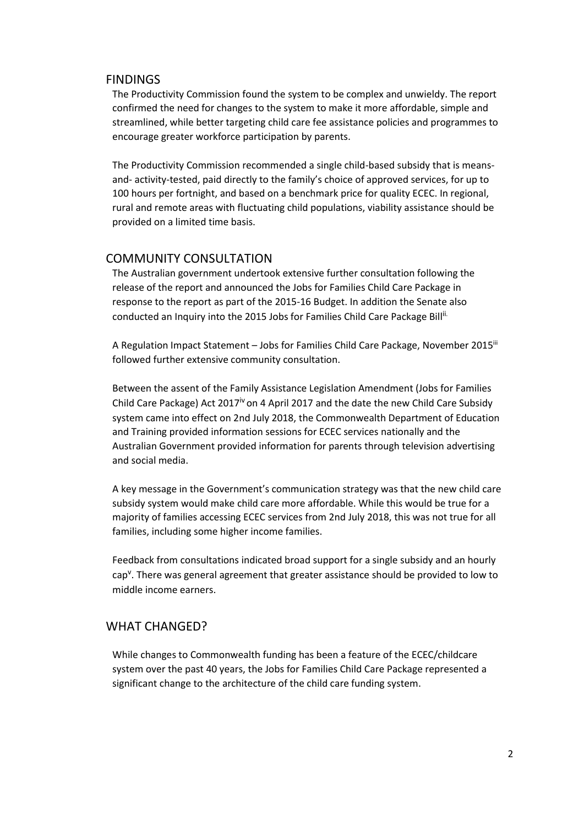### <span id="page-4-0"></span>FINDINGS

The Productivity Commission found the system to be complex and unwieldy. The report confirmed the need for changes to the system to make it more affordable, simple and streamlined, while better targeting child care fee assistance policies and programmes to encourage greater workforce participation by parents.

The Productivity Commission recommended a single child-based subsidy that is meansand- activity-tested, paid directly to the family's choice of approved services, for up to 100 hours per fortnight, and based on a benchmark price for quality ECEC. In regional, rural and remote areas with fluctuating child populations, viability assistance should be provided on a limited time basis.

### <span id="page-4-1"></span>COMMUNITY CONSULTATION

The Australian government undertook extensive further consultation following the release of the report and announced the Jobs for Families Child Care Package in response to the report as part of the 2015-16 Budget. In addition the Senate also conducted an Inquiry into the 2015 Jobs for Families Child Care Package Bill<sup>ii.</sup>

A Regulation Impact Statement – Jobs for Families Child Care Package, November 2015<sup>iii</sup> followed further extensive community consultation.

Between the assent of the Family Assistance Legislation Amendment (Jobs for Families Child Care Package) Act 2017<sup>iv</sup> on 4 April 2017 and the date the new Child Care Subsidy system came into effect on 2nd July 2018, the Commonwealth Department of Education and Training provided information sessions for ECEC services nationally and the Australian Government provided information for parents through television advertising and social media.

A key message in the Government's communication strategy was that the new child care subsidy system would make child care more affordable. While this would be true for a majority of families accessing ECEC services from 2nd July 2018, this was not true for all families, including some higher income families.

Feedback from consultations indicated broad support for a single subsidy and an hourly cap<sup>v</sup>. There was general agreement that greater assistance should be provided to low to middle income earners.

## <span id="page-4-2"></span>WHAT CHANGED?

While changes to Commonwealth funding has been a feature of the ECEC/childcare system over the past 40 years, the Jobs for Families Child Care Package represented a significant change to the architecture of the child care funding system.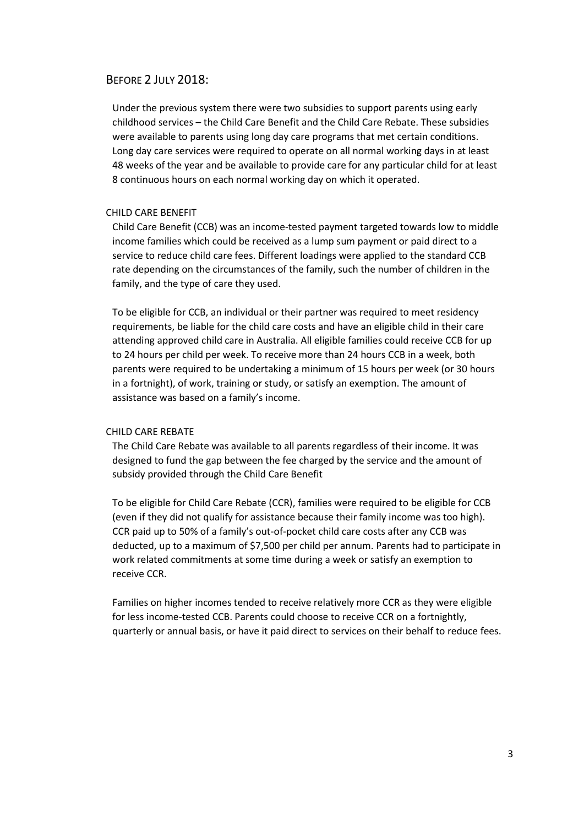#### <span id="page-5-0"></span>BEFORE 2 JULY 2018:

Under the previous system there were two subsidies to support parents using early childhood services – the Child Care Benefit and the Child Care Rebate. These subsidies were available to parents using long day care programs that met certain conditions. Long day care services were required to operate on all normal working days in at least 48 weeks of the year and be available to provide care for any particular child for at least 8 continuous hours on each normal working day on which it operated.

#### <span id="page-5-1"></span>CHILD CARE BENEFIT

Child Care Benefit (CCB) was an income-tested payment targeted towards low to middle income families which could be received as a lump sum payment or paid direct to a service to reduce child care fees. Different loadings were applied to the standard CCB rate depending on the circumstances of the family, such the number of children in the family, and the type of care they used.

To be eligible for CCB, an individual or their partner was required to meet residency requirements, be liable for the child care costs and have an eligible child in their care attending approved child care in Australia. All eligible families could receive CCB for up to 24 hours per child per week. To receive more than 24 hours CCB in a week, both parents were required to be undertaking a minimum of 15 hours per week (or 30 hours in a fortnight), of work, training or study, or satisfy an exemption. The amount of assistance was based on a family's income.

#### <span id="page-5-2"></span>CHILD CARE REBATE

The Child Care Rebate was available to all parents regardless of their income. It was designed to fund the gap between the fee charged by the service and the amount of subsidy provided through the Child Care Benefit

To be eligible for Child Care Rebate (CCR), families were required to be eligible for CCB (even if they did not qualify for assistance because their family income was too high). CCR paid up to 50% of a family's out-of-pocket child care costs after any CCB was deducted, up to a maximum of \$7,500 per child per annum. Parents had to participate in work related commitments at some time during a week or satisfy an exemption to receive CCR.

Families on higher incomes tended to receive relatively more CCR as they were eligible for less income-tested CCB. Parents could choose to receive CCR on a fortnightly, quarterly or annual basis, or have it paid direct to services on their behalf to reduce fees.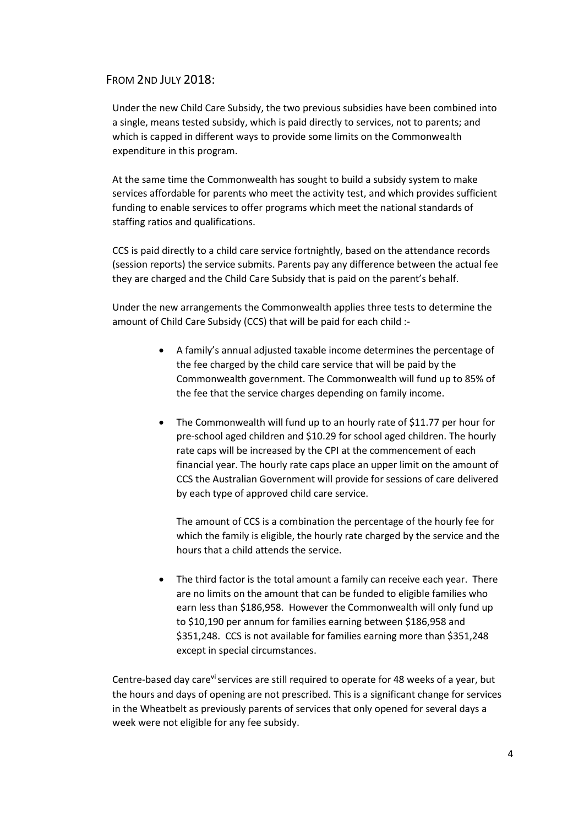### <span id="page-6-0"></span>FROM 2ND JULY 2018:

Under the new Child Care Subsidy, the two previous subsidies have been combined into a single, means tested subsidy, which is paid directly to services, not to parents; and which is capped in different ways to provide some limits on the Commonwealth expenditure in this program.

At the same time the Commonwealth has sought to build a subsidy system to make services affordable for parents who meet the activity test, and which provides sufficient funding to enable services to offer programs which meet the national standards of staffing ratios and qualifications.

CCS is paid directly to a child care service fortnightly, based on the attendance records (session reports) the service submits. Parents pay any difference between the actual fee they are charged and the Child Care Subsidy that is paid on the parent's behalf.

Under the new arrangements the Commonwealth applies three tests to determine the amount of Child Care Subsidy (CCS) that will be paid for each child :-

- A family's [annual adjusted taxable](https://www.education.gov.au/child-care-subsidy-combined-family-income-0) income determines the percentage of the fee charged by the child care service that will be paid by the Commonwealth government. The Commonwealth will fund up to 85% of the fee that the service charges depending on family income.
- The Commonwealth will fund up to an hourly rate of \$11.77 per hour for pre-school aged children and \$10.29 for school aged children. The hourly rate caps will be increased by the [CPI](http://guides.dss.gov.au/family-assistance-guide/acronyms#cpi) at the commencement of each financial year. The hourly rate caps place an upper limit on the amount of [CCS](http://guides.dss.gov.au/family-assistance-guide/acronyms#ccs) the Australian Government will provide for sessions of care delivered by each type of approved child care service.

The amount of CCS is a combination the percentage of the hourly fee for which the family is eligible, the hourly rate charged by the service and the hours that a child attends the service.

• The third factor is the total amount a family can receive each year. There are no limits on the amount that can be funded to eligible families who earn less than \$186,958. However the Commonwealth will only fund up to \$10,190 per annum for families earning between \$186,958 and \$351,248. CCS is not available for families earning more than \$351,248 except in special circumstances.

Centre-based day care<sup>vi</sup> services are still required to operate for 48 weeks of a year, but the hours and days of opening are not prescribed. This is a significant change for services in the Wheatbelt as previously parents of services that only opened for several days a week were not eligible for any fee subsidy.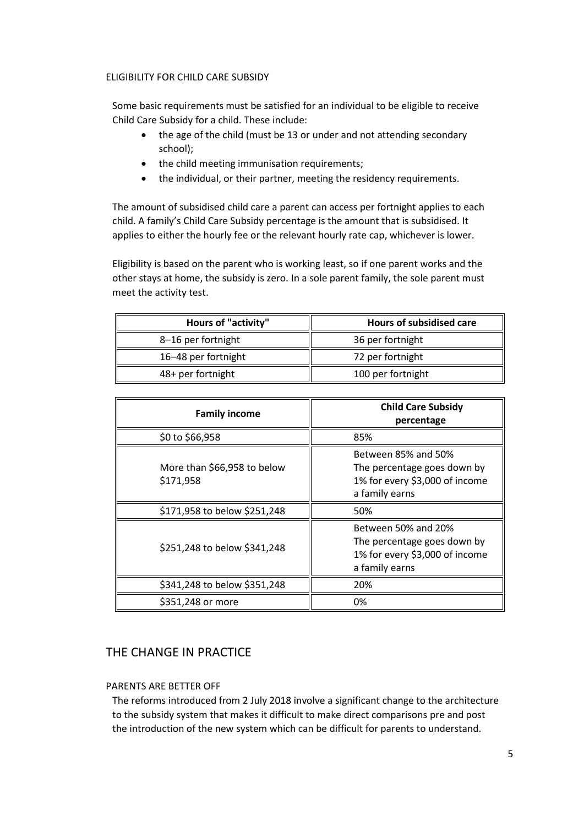#### <span id="page-7-0"></span>ELIGIBILITY FOR CHILD CARE SUBSIDY

Some basic requirements must be satisfied for an individual to be eligible to receive Child Care Subsidy for a child. These include:

- the age of the child (must be 13 or under and not attending secondary school);
- the child meeting immunisation requirements;
- the individual, or their partner, meeting the residency requirements.

The amount of subsidised child care a parent can access per fortnight applies to each child. A family's Child Care Subsidy percentage is the amount that is subsidised. It applies to either th[e hourly fee](https://www.humanservices.gov.au/individuals/services/centrelink/child-care-subsidy/how-much-you-can-get/type-child-care-you-use-affects-it#hourlyfee) or the relevant [hourly rate cap,](https://www.humanservices.gov.au/individuals/services/centrelink/child-care-subsidy/how-much-you-can-get/type-child-care-you-use-affects-it#hourlyrate) whichever is lower.

Eligibility is based on the parent who is working least, so if one parent works and the other stays at home, the subsidy is zero. In a sole parent family, the sole parent must meet the activity test.

| <b>Hours of "activity"</b> | <b>Hours of subsidised care</b> |
|----------------------------|---------------------------------|
| 8-16 per fortnight         | 36 per fortnight                |
| 16-48 per fortnight        | 72 per fortnight                |
| 48+ per fortnight          | 100 per fortnight               |

| <b>Family income</b>                     | <b>Child Care Subsidy</b><br>percentage                                                                |
|------------------------------------------|--------------------------------------------------------------------------------------------------------|
| \$0 to \$66,958                          | 85%                                                                                                    |
| More than \$66,958 to below<br>\$171,958 | Between 85% and 50%<br>The percentage goes down by<br>1% for every \$3,000 of income<br>a family earns |
| \$171,958 to below \$251,248             | 50%                                                                                                    |
| \$251,248 to below \$341,248             | Between 50% and 20%<br>The percentage goes down by<br>1% for every \$3,000 of income<br>a family earns |
| \$341,248 to below \$351,248             | 20%                                                                                                    |
| \$351,248 or more                        | 0%                                                                                                     |

## <span id="page-7-1"></span>THE CHANGE IN PRACTICE

### <span id="page-7-2"></span>PARENTS ARE BETTER OFF

The reforms introduced from 2 July 2018 involve a significant change to the architecture to the subsidy system that makes it difficult to make direct comparisons pre and post the introduction of the new system which can be difficult for parents to understand.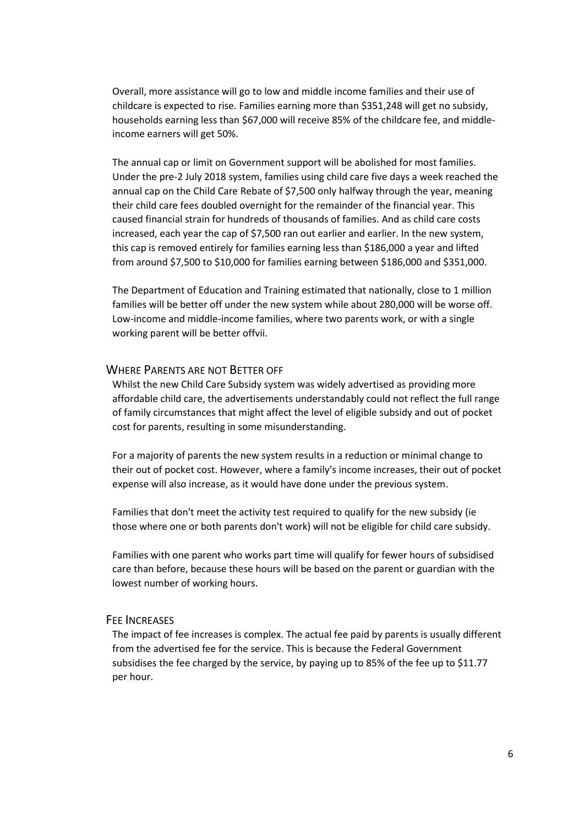Overall, more assistance will go to low and middle income families and their use of childcare is expected to rise. Families earning more than \$351,248 will get no subsidy, households earning less than \$67,000 will receive 85% of the childcare fee, and middleincome earners will get 50%.

The annual cap or limit on Government support will be abolished for most families. Under the pre-2 July 2018 system, families using child care five days a week reached the annual cap on the Child Care Rebate of \$7,500 only halfway through the year, meaning their child care fees doubled overnight for the remainder of the financial year. This caused financial strain for hundreds of thousands of families. And as child care costs increased, each year the cap of \$7,500 ran out earlier and earlier. In the new system, this cap is removed entirely for families earning less than \$186,000 a year and lifted from around \$7,500 to \$10,000 for families earning between \$186,000 and \$351,000.

The Department of Education and Training estimated that nationally, close to 1 million families will be better off under the new system while about 280,000 will be worse off. Low-income and middle-income families, where two parents work, or with a single working parent will be better offvii.

#### <span id="page-8-0"></span>WHERE PARENTS ARE NOT BETTER OFF

Whilst the new Child Care Subsidy system was widely advertised as providing more affordable child care, the advertisements understandably could not reflect the full range of family circumstances that might affect the level of eligible subsidy and out of pocket cost for parents, resulting in some misunderstanding.

For a majority of parents the new system results in a reduction or minimal change to their out of pocket cost. However, where a family's income increases, their out of pocket expense will also increase, as it would have done under the previous system.

Families that don't meet the activity test required to qualify for the new subsidy (ie those where one or both parents don't work) will not be eligible for child care subsidy.

Families with one parent who works part time will qualify for fewer hours of subsidised care than before, because these hours will be based on the parent or guardian with the lowest number of working hours.

#### <span id="page-8-1"></span>FEE INCREASES

The impact of fee increases is complex. The actual fee paid by parents is usually different from the advertised fee for the service. This is because the Federal Government subsidises the fee charged by the service, by paying up to 85% of the fee up to \$11.77 per hour.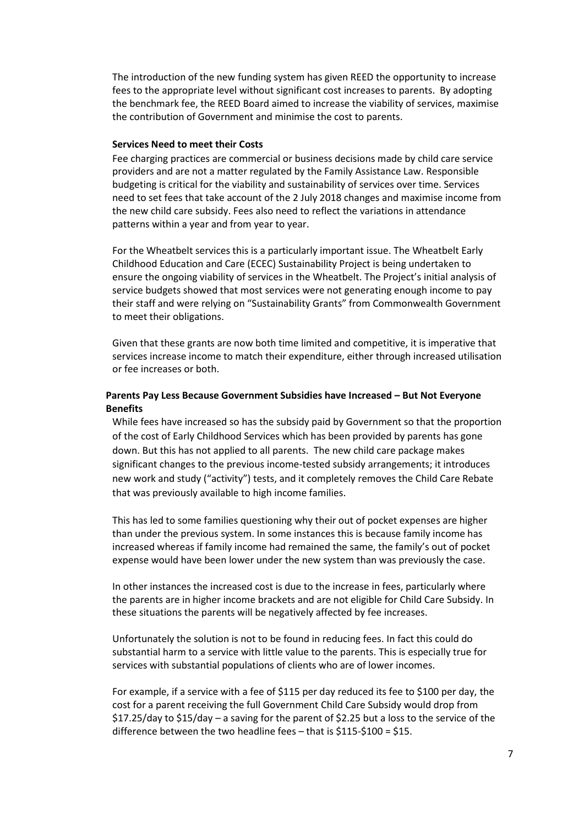The introduction of the new funding system has given REED the opportunity to increase fees to the appropriate level without significant cost increases to parents. By adopting the benchmark fee, the REED Board aimed to increase the viability of services, maximise the contribution of Government and minimise the cost to parents.

## **Services Need to meet their Costs**

Fee charging practices are commercial or business decisions made by child care service providers and are not a matter regulated by the Family Assistance Law. Responsible budgeting is critical for the viability and sustainability of services over time. Services need to set fees that take account of the 2 July 2018 changes and maximise income from the new child care subsidy. Fees also need to reflect the variations in attendance patterns within a year and from year to year.

For the Wheatbelt services this is a particularly important issue. The Wheatbelt Early Childhood Education and Care (ECEC) Sustainability Project is being undertaken to ensure the ongoing viability of services in the Wheatbelt. The Project's initial analysis of service budgets showed that most services were not generating enough income to pay their staff and were relying on "Sustainability Grants" from Commonwealth Government to meet their obligations.

Given that these grants are now both time limited and competitive, it is imperative that services increase income to match their expenditure, either through increased utilisation or fee increases or both.

#### **Parents Pay Less Because Government Subsidies have Increased – But Not Everyone Benefits**

While fees have increased so has the subsidy paid by Government so that the proportion of the cost of Early Childhood Services which has been provided by parents has gone down. But this has not applied to all parents. The new child care package makes significant changes to the previous income-tested subsidy arrangements; it introduces new work and study ("activity") tests, and it completely removes the Child Care Rebate that was previously available to high income families.

This has led to some families questioning why their out of pocket expenses are higher than under the previous system. In some instances this is because family income has increased whereas if family income had remained the same, the family's out of pocket expense would have been lower under the new system than was previously the case.

In other instances the increased cost is due to the increase in fees, particularly where the parents are in higher income brackets and are not eligible for Child Care Subsidy. In these situations the parents will be negatively affected by fee increases.

Unfortunately the solution is not to be found in reducing fees. In fact this could do substantial harm to a service with little value to the parents. This is especially true for services with substantial populations of clients who are of lower incomes.

For example, if a service with a fee of \$115 per day reduced its fee to \$100 per day, the cost for a parent receiving the full Government Child Care Subsidy would drop from \$17.25/day to \$15/day – a saving for the parent of \$2.25 but a loss to the service of the difference between the two headline fees – that is \$115-\$100 = \$15.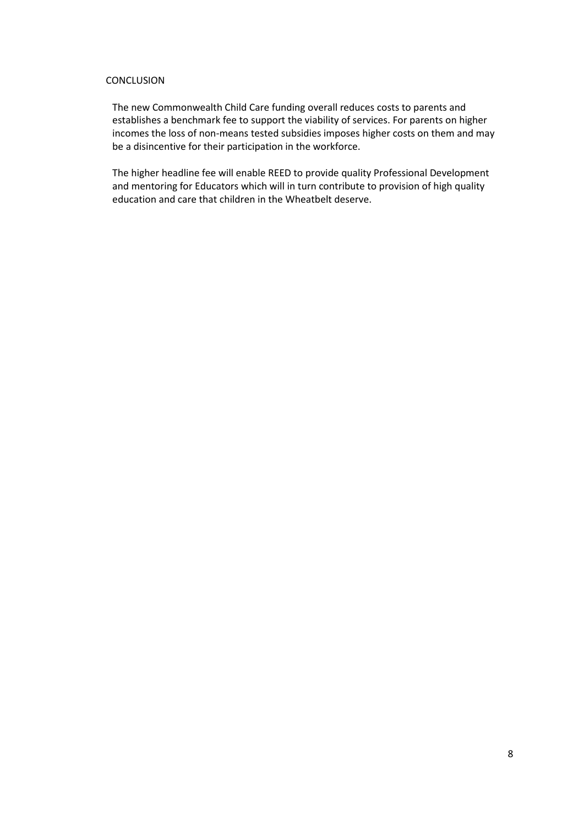#### <span id="page-10-0"></span>CONCLUSION

The new Commonwealth Child Care funding overall reduces costs to parents and establishes a benchmark fee to support the viability of services. For parents on higher incomes the loss of non-means tested subsidies imposes higher costs on them and may be a disincentive for their participation in the workforce.

The higher headline fee will enable REED to provide quality Professional Development and mentoring for Educators which will in turn contribute to provision of high quality education and care that children in the Wheatbelt deserve.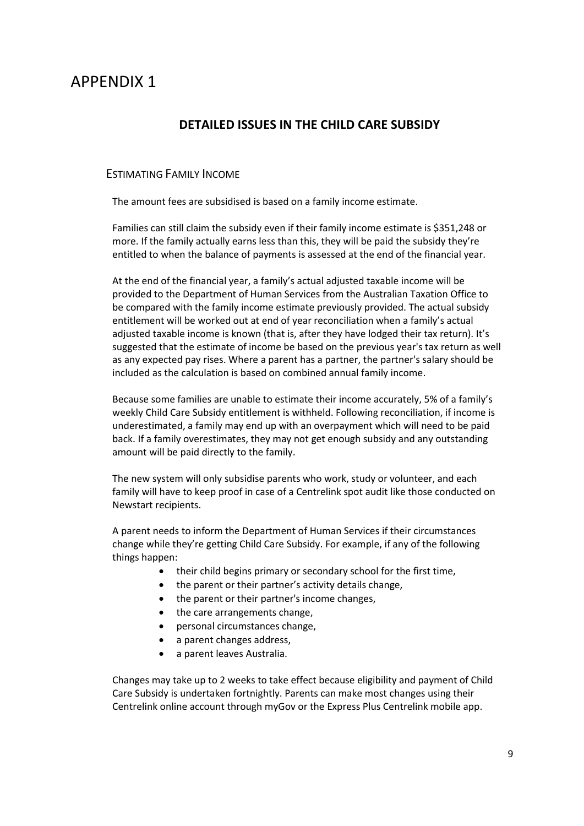## <span id="page-11-1"></span><span id="page-11-0"></span>APPENDIX 1

## **DETAILED ISSUES IN THE CHILD CARE SUBSIDY**

## <span id="page-11-2"></span>ESTIMATING FAMILY INCOME

The amount fees are subsidised is based on [a family income estimate.](https://www.humanservices.gov.au/individuals/services/child-support/child-support-assessment/how-we-work-out-your-assessment/how-your-income-affects-your-payment)

Families can still claim the subsidy even if their family income estimate is \$351,248 or more. If the family actually earns less than this, they will be paid the subsidy they're entitled to when th[e balance of payments](https://www.humanservices.gov.au/individuals/services/centrelink/child-care-subsidy/how-manage-your-payment/well-balance-your-child-care-subsidy) is assessed at the end of the financial year.

At the end of the financial year, a family's actual [adjusted taxable income](https://www.humanservices.gov.au/individuals/services/centrelink/child-care-subsidy/how-much-you-can-get/your-income-can-affect-it/what-adjusted-taxable-income) will be provided to the Department of Human Services from the Australian Taxation Office to be compared with the family income estimate previously provided. The actual subsidy entitlement will be worked out at end of year reconciliation when a family's actual adjusted taxable income is known (that is, after they have lodged their tax return). It's suggested that the estimate of income be based on the previous year's tax return as well as any expected pay rises. Where a parent has a partner, the partner's salary should be included as the calculation is based on [combined annual family income.](https://www.education.gov.au/child-care-subsidy-combined-family-income-0)

Because some families are unable to estimate their income accurately, 5% of a family's weekly Child Care Subsidy entitlement is withheld. Following reconciliation, if income is underestimated, a family may end up with an overpayment which will need to be paid back. If a family overestimates, they may not get enough subsidy and any outstanding amount will be paid directly to the family.

The new system will only subsidise parents who work, study or volunteer, and each family will have to keep proof in case of a Centrelink spot audit like those conducted on Newstart recipients.

A parent needs to inform the Department of Human Services if their circumstances change while they're getting Child Care Subsidy. For example, if any of the following things happen:

- their child begins primary or secondary school for the first time,
- the parent or their partner's [activity](https://www.humanservices.gov.au/individuals/services/centrelink/child-care-subsidy/how-much-you-can-get/your-activity-level-affects-it#recognisedactivities) details change,
- the parent or their partner's income changes,
- the care arrangements change,
- personal circumstances change,
- a parent changes address,
- a parent leaves Australia.

Changes may take up to 2 weeks to take effect because eligibility and payment of Child Care Subsidy is undertaken fortnightly. Parents can make most changes using their [Centrelink online account](https://www.humanservices.gov.au/individuals/services/centrelink/centrelink-online-accounts) through [myGov](https://my.gov.au/) or the [Express Plus Centrelink mobile app.](https://www.humanservices.gov.au/individuals/services/centrelink/express-plus-centrelink-mobile-apps)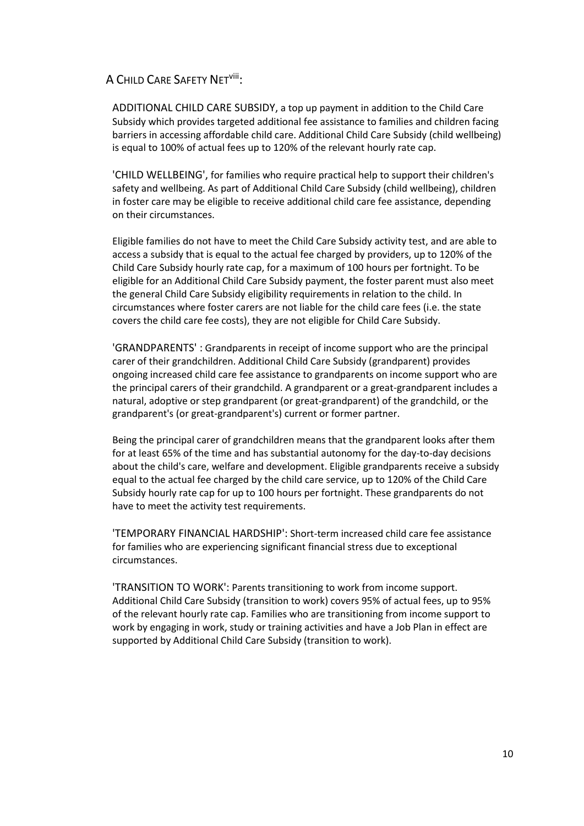## <span id="page-12-0"></span>A CHILD CARE SAFETY NETviii:

<span id="page-12-1"></span>[ADDITIONAL CHILD CARE SUBSIDY,](https://www.education.gov.au/additional-child-care-subsidy-0) a top up payment in addition to the Child Care Subsidy which provides targeted additional fee assistance to families and children facing barriers in accessing affordable child care. Additional Child Care Subsidy (child wellbeing) is equal to 100% of actual fees up to 120% of the relevant hourly rate cap.

<span id="page-12-2"></span>['CHILD WELLBEING',](https://www.education.gov.au/additional-child-care-subsidy-0) for families who require practical help to support their children's safety and wellbeing. As part of Additional Child Care Subsidy (child wellbeing), children in foster care may be eligible to receive additional child care fee assistance, depending on their circumstances.

Eligible families do not have to meet the Child Care Subsidy activity test, and are able to access a subsidy that is equal to the actual fee charged by providers, up to 120% of the Child Care Subsidy hourly rate cap, for a maximum of 100 hours per fortnight. To be eligible for an Additional Child Care Subsidy payment, the foster parent must also meet the general Child Care Subsidy eligibility requirements in relation to the child. In circumstances where foster carers are not liable for the child care fees (i.e. the state covers the child care fee costs), they are not eligible for Child Care Subsidy.

<span id="page-12-3"></span>['GRANDPARENTS'](https://www.education.gov.au/additional-child-care-subsidy-0) : Grandparents in receipt of income support who are the principal carer of their grandchildren. Additional Child Care Subsidy (grandparent) provides ongoing increased child care fee assistance to grandparents on income support who are the principal carers of their grandchild. A grandparent or a great-grandparent includes a natural, adoptive or step grandparent (or great-grandparent) of the grandchild, or the grandparent's (or great-grandparent's) current or former partner.

Being the principal carer of grandchildren means that the grandparent looks after them for at least 65% of the time and has substantial autonomy for the day-to-day decisions about the child's care, welfare and development. Eligible grandparents receive a subsidy equal to the actual fee charged by the child care service, up to 120% of the Child Care Subsidy hourly rate cap for up to 100 hours per fortnight. These grandparents do not have to meet the activity test requirements.

<span id="page-12-4"></span>['TEMPORARY FINANCIAL](https://www.education.gov.au/additional-child-care-subsidy-0) HARDSHIP': Short-term increased child care fee assistance for families who are experiencing significant financial stress due to exceptional circumstances.

<span id="page-12-5"></span>['TRANSITION TO WORK':](https://www.education.gov.au/additional-child-care-subsidy-0) Parents transitioning to work from income support. Additional Child Care Subsidy (transition to work) covers 95% of actual fees, up to 95% of the relevant hourly rate cap. Families who are transitioning from income support to work by engaging in work, study or training activities and have a Job Plan in effect are supported by Additional Child Care Subsidy (transition to work).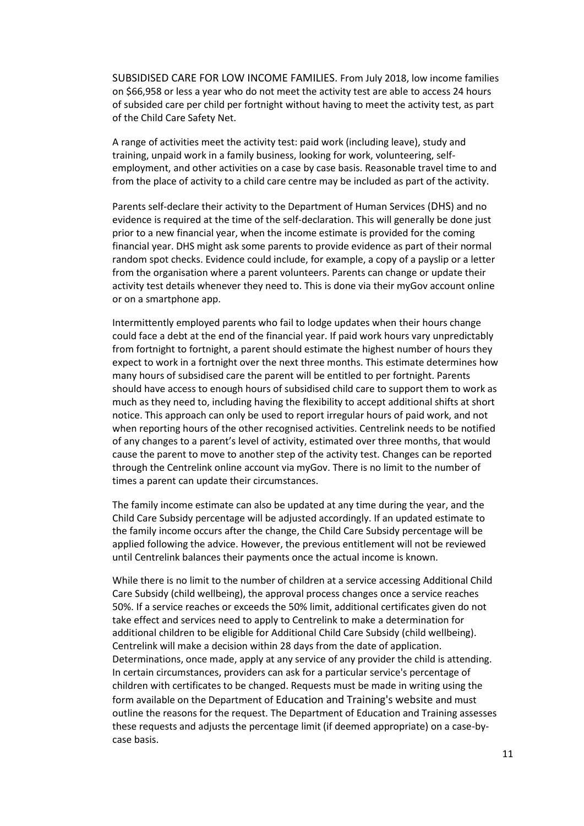<span id="page-13-0"></span>SUBSIDISED CARE FOR LOW INCOME FAMILIES. From July 2018, low income families on \$66,958 or less a year who do not meet th[e activity test](https://www.education.gov.au/child-care-subsidy-activity-test-0) are able to access 24 hours of subsided care per child per fortnight without having to meet the activity test, as part of the Child Care Safety Net.

A range of activities meet the activity test: paid work (including leave), study and training, unpaid work in a family business, looking for work, volunteering, selfemployment, and other activities on a case by case basis. Reasonable travel time to and from the place of activity to a child care centre may be included as part of the activity.

Parents self-declare their activity to the Department of Human Services (DHS) and no evidence is required at the time of the self-declaration. This will generally be done just prior to a new financial year, when the income estimate is provided for the coming financial year. DHS might ask some parents to provide evidence as part of their normal random spot checks. Evidence could include, for example, a copy of a payslip or a letter from the organisation where a parent volunteers. Parents can change or update their activity test details whenever they need to. This is done via their myGov account online or on a smartphone app.

Intermittently employed parents who fail to lodge updates when their hours change could face a debt at the end of the financial year. If paid work hours vary unpredictably from fortnight to fortnight, a parent should estimate the highest number of hours they expect to work in a fortnight over the next three months. This estimate determines how many hours of subsidised care the parent will be entitled to per fortnight. Parents should have access to enough hours of subsidised child care to support them to work as much as they need to, including having the flexibility to accept additional shifts at short notice. This approach can only be used to report irregular hours of paid work, and not when reporting hours of the other recognised activities. Centrelink needs to be notified of any changes to a parent's level of activity, estimated over three months, that would cause the parent to move to another step of the activity test. Changes can be reported through the Centrelink online account via myGov. There is no limit to the number of times a parent can update their circumstances.

The family income estimate can also be updated at any time during the year, and the Child Care Subsidy percentage will be adjusted accordingly. If an updated estimate to the family income occurs after the change, the Child Care Subsidy percentage will be applied following the advice. However, the previous entitlement will not be reviewed until Centrelink balances their payments once the actual income is known.

While there is no limit to the number of children at a service accessing Additional Child Care Subsidy (child wellbeing), the approval process changes once a service reaches 50%. If a service reaches or exceeds the 50% limit, additional certificates given do not take effect and services need to apply to Centrelink to make a determination for additional children to be eligible for Additional Child Care Subsidy (child wellbeing). Centrelink will make a decision within 28 days from the date of application. Determinations, once made, apply at any service of any provider the child is attending. In certain circumstances, providers can ask for a particular service's percentage of children with certificates to be changed. Requests must be made in writing using the form available on the Department of [Education and Training's website](https://www.education.gov.au/accs-child-wellbeing-guide) and must outline the reasons for the request. The Department of Education and Training assesses these requests and adjusts the percentage limit (if deemed appropriate) on a case-bycase basis.